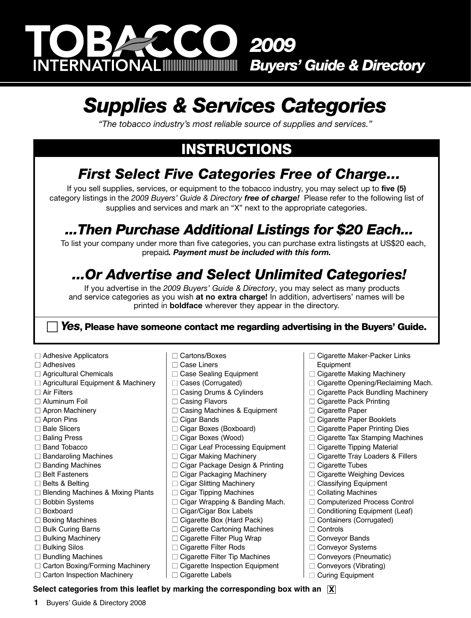## *2009* **INTERNATIONALIIIIIIIIIIIIIIIIIIII**IIIII *Buyers' Guide & Directory*

## *Supplies & Services Categories*

*"The tobacco industry's most reliable source of supplies and services."* 

### **INSTRUCTIONS**

### *First Select Five Categories Free of Charge...*

If you sell supplies, services, or equipment to the tobacco industry, you may select up to **five (5)**  category listings in the *2009 Buyers' Guide & Directory free of charge!* Please refer to the following list of supplies and services and mark an "X" next to the appropriate categories.

### *...Then Purchase Additional Listings for \$20 Each...*

To list your company under more than five categories, you can purchase extra listingsts at US\$20 each, prepaid*. Payment must be included with this form.*

### *...Or Advertise and Select Unlimited Categories!*

If you advertise in the *2009 Buyers' Guide & Directory*, you may select as many products and service categories as you wish **at no extra charge!** In addition, advertisers' names will be printed in **boldface** wherever they appear in the directory.

*Yes***, Please have someone contact me regarding advertising in the Buyers' Guide.**

- $\Box$  Adhesive Applicators □ Adhesives  $\Box$  Agricultural Chemicals  $\Box$  Agricultural Equipment & Machinery  $\Box$  Air Filters □ Aluminum Foil  $\Box$  Apron Machinery □ Apron Pins  $\Box$  Bale Slicers □ Baling Press □ Band Tobacco  $\Box$  Bandaroling Machines  $\square$  Banding Machines ■ Belt Fasteners □ Belts & Belting □ Blending Machines & Mixing Plants □ Bobbin Systems □ Boxboard  $\Box$  Boxing Machines  $\square$  Bulk Curing Barns □ Bulking Machinery □ Bulking Silos  $\square$  Bundling Machines □ Carton Boxing/Forming Machinery  $\Box$  Carton Inspection Machinery □ Cartons/Boxes □ Case Liners □ Case Sealing Equipment □ Cases (Corrugated) □ Casing Drums & Cylinders □ Casing Flavors  $\Box$  Casing Machines & Equipment □ Cigar Bands □ Cigar Boxes (Boxboard) □ Cigar Boxes (Wood)  $\Box$  Cigar Leaf Processing Equipment  $\Box$  Cigar Making Machinery □ Cigar Package Design & Printing  $\Box$  Cigar Packaging Machinery  $\Box$  Cigar Slitting Machinery  $\Box$  Cigar Tipping Machines  $\Box$  Cigar Wrapping & Banding Mach. □ Cigar/Cigar Box Labels  $\Box$  Cigarette Box (Hard Pack)  $\Box$  Cigarette Cartoning Machines □ Cigarette Filter Plug Wrap  $\Box$  Cigarette Filter Rods  $\Box$  Cigarette Filter Tip Machines  $\Box$  Cigarette Inspection Equipment □ Cigarette Labels  $\Box$  Cigarette Maker-Packer Links Equipment  $\Box$  Cigarette Making Machinery  $\Box$  Cigarette Opening/Reclaiming Mach.  $\Box$  Cigarette Pack Bundling Machinery  $\Box$  Cigarette Pack Printing  $\Box$  Cigarette Paper □ Cigarette Paper Booklets  $\Box$  Cigarette Paper Printing Dies  $\Box$  Cigarette Tax Stamping Machines  $\Box$  Cigarette Tipping Material  $\Box$  Cigarette Tray Loaders & Fillers  $\Box$  Cigarette Tubes □ Cigarette Weighing Devices  $\Box$  Classifying Equipment  $\Box$  Collating Machines □ Computerized Process Control  $\Box$  Conditioning Equipment (Leaf) □ Containers (Corrugated) □ Controls □ Conveyor Bands □ Conveyor Systems  $\Box$  Conveyors (Pneumatic)  $\Box$  Conveyors (Vibrating) □ Curing Equipment Select categories from this leaflet by marking the corresponding box with an  $\overline{X}$
- **1** Buyers' Guide & Directory 2008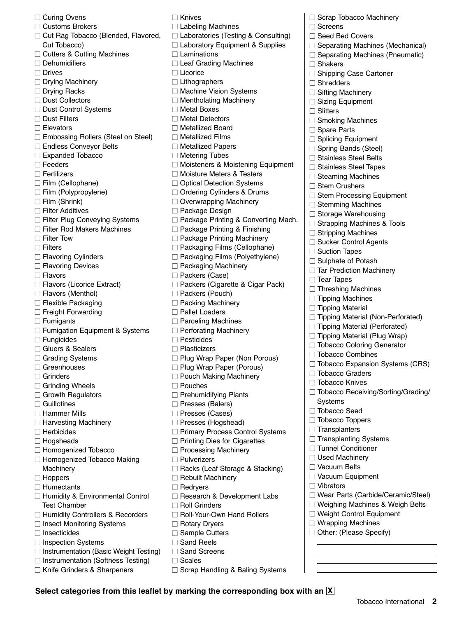□ Curing Ovens □ Customs Brokers □ Cut Rag Tobacco (Blended, Flavored, Cut Tobacco) □ Cutters & Cutting Machines □ Dehumidifiers ■ Drives  $\Box$  Drying Machinery □ Drying Racks □ Dust Collectors □ Dust Control Systems □ Dust Filters □ Elevators □ Embossing Rollers (Steel on Steel) □ Endless Convevor Belts □ Expanded Tobacco □ Feeders  $\Box$  Fertilizers  $\Box$  Film (Cellophane) □ Film (Polypropylene)  $\Box$  Film (Shrink) □ Filter Additives  $\Box$  Filter Plug Conveying Systems  $\Box$  Filter Rod Makers Machines ■ Filter Tow ■ Filters □ Flavoring Cylinders □ Flavoring Devices □ Flavors  $\Box$  Flavors (Licorice Extract)  $\Box$  Flavors (Menthol)  $\Box$  Flexible Packaging  $\Box$  Freight Forwarding  $\square$  Fumigants □ Fumigation Equipment & Systems □ Fungicides □ Gluers & Sealers □ Grading Systems □ Greenhouses □ Grinders  $\Box$  Grinding Wheels  $\Box$  Growth Regulators  $\square$  Guillotines □ Hammer Mills  $\Box$  Harvesting Machinery ■ Herbicides □ Hogsheads □ Homogenized Tobacco  $\Box$  Homogenized Tobacco Making Machinery □ Hoppers □ Humectants □ Humidity & Environmental Control Test Chamber □ Humidity Controllers & Recorders □ Insect Monitoring Systems □ Insecticides □ Inspection Systems  $\Box$  Instrumentation (Basic Weight Testing)  $\Box$  Instrumentation (Softness Testing) □ Knife Grinders & Sharpeners ■ Knives □ Laminations ■ Licorice  $\Box$  Lithographers □ Metal Boxes □ Metal Detectors ■ Metallized Board  $\Box$  Metallized Films  $\square$  Metering Tubes □ Package Design □ Packers (Case) □ Packers (Pouch) □ Pallet Loaders ■ Pesticides ■ Plasticizers □ Pouches □ Presses (Balers) □ Presses (Cases) □ Pulverizers □ Redryers ■ Roll Grinders □ Rotary Dryers □ Sample Cutters □ Sand Reels □ Sand Screens □ Scales  $\Box$  Scrap Handling & Baling Systems

 $\Box$  Labeling Machines  $\Box$  Laboratories (Testing & Consulting)  $\Box$  Laboratory Equipment & Supplies  $\Box$  Leaf Grading Machines □ Machine Vision Systems  $\Box$  Mentholating Machinery □ Metallized Papers  $\Box$  Moisteners & Moistening Equipment □ Moisture Meters & Testers □ Optical Detection Systems □ Ordering Cylinders & Drums  $\Box$  Overwrapping Machinery  $\Box$  Package Printing & Converting Mach.  $\Box$  Package Printing & Finishing  $\Box$  Package Printing Machinery  $\Box$  Packaging Films (Cellophane)  $\Box$  Packaging Films (Polyethylene)  $\Box$  Packaging Machinery  $\Box$  Packers (Cigarette & Cigar Pack)  $\Box$  Packing Machinery  $\Box$  Parceling Machines  $\Box$  Perforating Machinery  $\Box$  Plug Wrap Paper (Non Porous) □ Plug Wrap Paper (Porous)  $\Box$  Pouch Making Machinery  $\Box$  Prehumidifying Plants □ Presses (Hogshead) □ Primary Process Control Systems  $\Box$  Printing Dies for Cigarettes  $\Box$  Processing Machinery □ Racks (Leaf Storage & Stacking)  $\Box$  Rebuilt Machinery  $\square$  Research & Development Labs □ Roll-Your-Own Hand Rollers

 $\Box$  Scrap Tobacco Machinery □ Screens □ Seed Bed Covers  $\Box$  Separating Machines (Mechanical)  $\Box$  Separating Machines (Pneumatic) □ Shakers □ Shipping Case Cartoner □ Shredders  $\Box$  Sifting Machinery  $\Box$  Sizing Equipment □ Slitters  $\square$  Smoking Machines □ Spare Parts □ Splicing Equipment □ Spring Bands (Steel) □ Stainless Steel Belts □ Stainless Steel Tapes  $\square$  Steaming Machines □ Stem Crushers  $\square$  Stem Processing Equipment  $\square$  Stemming Machines  $\Box$  Storage Warehousing  $\Box$  Strapping Machines & Tools  $\Box$  Stripping Machines □ Sucker Control Agents □ Suction Tapes □ Sulphate of Potash  $\Box$  Tar Prediction Machinery □ Tear Tapes  $\Box$  Threshing Machines  $\Box$  Tipping Machines  $\square$  Tipping Material  $\Box$  Tipping Material (Non-Perforated)  $\Box$  Tipping Material (Perforated)  $\Box$  Tipping Material (Plug Wrap) □ Tobacco Coloring Generator □ Tobacco Combines  $\Box$  Tobacco Expansion Systems (CRS) □ Tobacco Graders □ Tobacco Knives □ Tobacco Receiving/Sorting/Grading/ **Systems** □ Tobacco Seed □ Tobacco Toppers  $\Box$  Transplanters  $\Box$  Transplanting Systems □ Tunnel Conditioner □ Used Machinery  $\Box$  Vacuum Belts □ Vacuum Equipment □ Vibrators □ Wear Parts (Carbide/Ceramic/Steel)  $\Box$  Weighing Machines & Weigh Belts □ Weight Control Equipment  $\Box$  Wrapping Machines □ Other: (Please Specify)

**Select categories from this leaflet by marking the corresponding box with an X**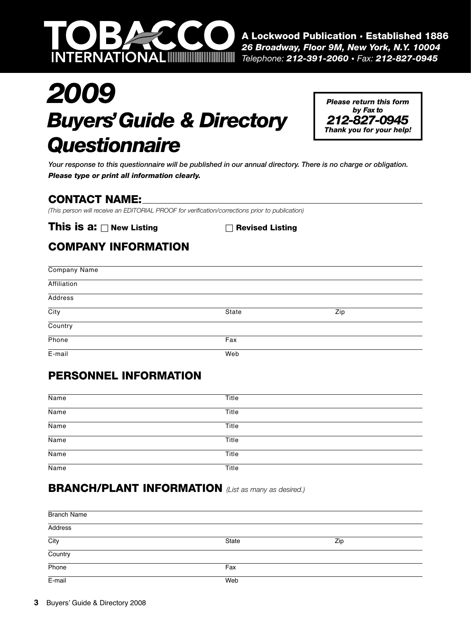

# *2009 Buyers'Guide & Directory Questionnaire*



*Your response to this questionnaire will be published in our annual directory. There is no charge or obligation. Please type or print all information clearly.*

#### **CONTACT NAME:**

*(This person will receive an EDITORIAL PROOF for verification/corrections prior to publication)*

**This is a:**  $\Box$  New Listing  $\Box$ 

| $\exists$ Revised Listing |  |
|---------------------------|--|
|---------------------------|--|

### **COMPANY INFORMATION**

| <b>Company Name</b> |       |     |  |
|---------------------|-------|-----|--|
| Affiliation         |       |     |  |
| Address             |       |     |  |
| $\overline{City}$   | State | Zip |  |
| Country             |       |     |  |
| Phone               | Fax   |     |  |
| E-mail              | Web   |     |  |

#### **PERSONNEL INFORMATION**

| Name                       | Title |  |
|----------------------------|-------|--|
| Name                       | Title |  |
| $\overline{\mathsf{Name}}$ | Title |  |
| Name                       | Title |  |
| <b>Name</b>                | Title |  |
| Name                       | Title |  |

#### **BRANCH/PLANT INFORMATION** *(List as many as desired.)*

| <b>Branch Name</b>         |       |     |  |
|----------------------------|-------|-----|--|
| Address                    |       |     |  |
| $\overline{\mathrm{City}}$ | State | Zip |  |
| Country                    |       |     |  |
| Phone                      | Fax   |     |  |
| E-mail                     | Web   |     |  |